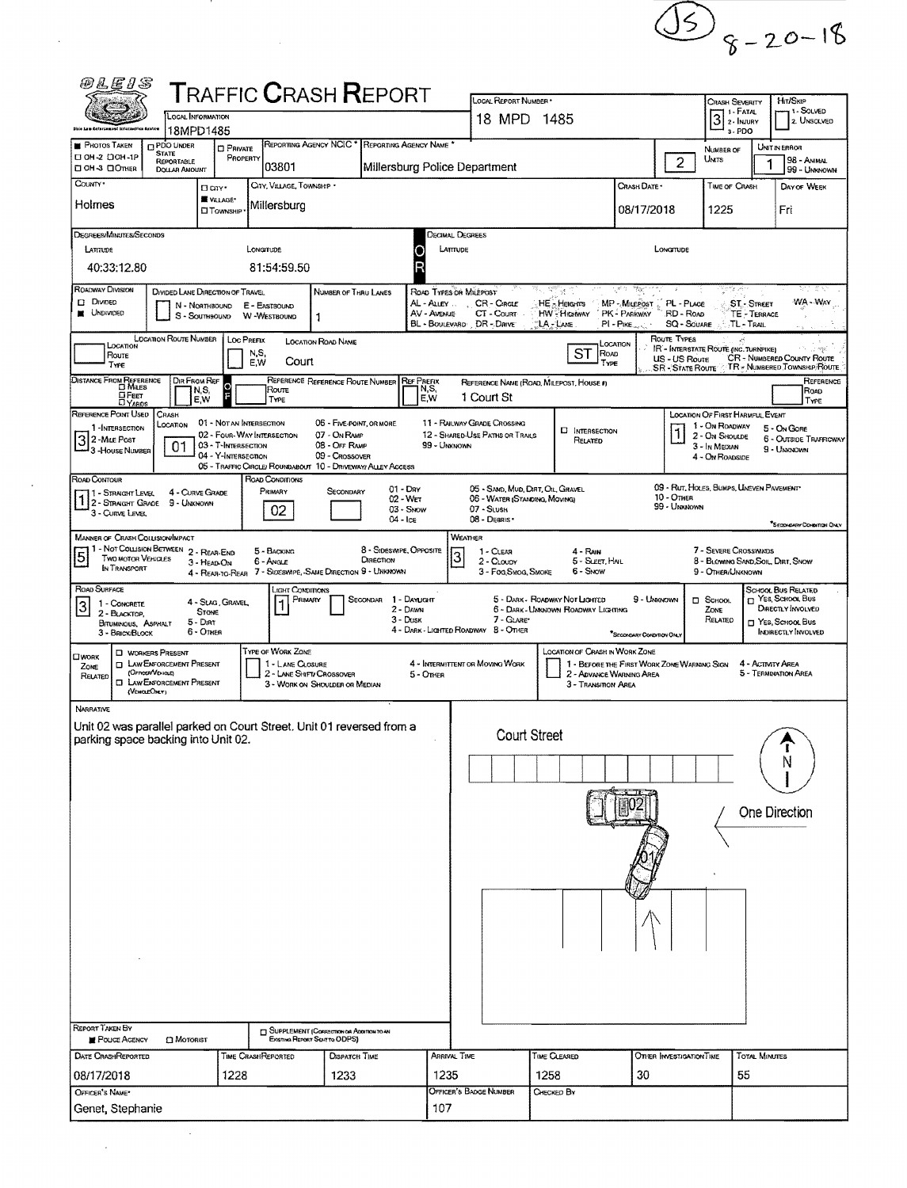$\frac{\sqrt{5}}{8}-20-18$ 

| @LEIS                                                                                                                                                                                                                                                                                                                            |                                                                      |                                                                        |                                                                    | <b>TRAFFIC CRASH REPORT</b>                                                                                                                |                                                                                       |                                                     |                                                                                                      |                                                                       |                                                                         |                                                                |                                                                                                                |                                    |                                                                                                                  |  |  |
|----------------------------------------------------------------------------------------------------------------------------------------------------------------------------------------------------------------------------------------------------------------------------------------------------------------------------------|----------------------------------------------------------------------|------------------------------------------------------------------------|--------------------------------------------------------------------|--------------------------------------------------------------------------------------------------------------------------------------------|---------------------------------------------------------------------------------------|-----------------------------------------------------|------------------------------------------------------------------------------------------------------|-----------------------------------------------------------------------|-------------------------------------------------------------------------|----------------------------------------------------------------|----------------------------------------------------------------------------------------------------------------|------------------------------------|------------------------------------------------------------------------------------------------------------------|--|--|
| this Law Reformanat Information Apatem                                                                                                                                                                                                                                                                                           | LOCAL INFORMATION<br>18MPD1485                                       |                                                                        |                                                                    |                                                                                                                                            |                                                                                       |                                                     | LOCAL REPORT NUMBER *<br>18 MPD 1485                                                                 |                                                                       |                                                                         | Crash Severity<br>3 <sup>1. F</sup> ATAL<br>2. Injurr<br>3-PDO | Hir/Skip<br>1 SOLVED<br>2. UNSOLVED                                                                            |                                    |                                                                                                                  |  |  |
| <b>PHOTOS TAKEN</b><br>П 0Н-2 ДОН-1Р                                                                                                                                                                                                                                                                                             | <b>D</b> PDO UNDER<br><b>STATE</b><br><b>REPORTABLE</b>              | <b>D</b> PRIVATE<br>PROPERTY                                           |                                                                    | REPORTING AGENCY NCIC <sup>*</sup> REPORTING AGENCY NAME                                                                                   |                                                                                       |                                                     |                                                                                                      |                                                                       |                                                                         | $\overline{2}$                                                 | NUMBER OF<br>Umts                                                                                              |                                    | UNIT IN ERROR<br>98 - Animal                                                                                     |  |  |
| <b>DOH-3 DOTHER</b><br>COUNTY <sup>®</sup>                                                                                                                                                                                                                                                                                       | DOLLAR AMOUNT                                                        |                                                                        | 03801<br>CITY, VILLAGE, TOWNSHIP .                                 |                                                                                                                                            | Millersburg Police Department                                                         |                                                     |                                                                                                      |                                                                       | Crash Date *                                                            |                                                                |                                                                                                                |                                    | 99 - Unknown<br>DAY OF WEEK                                                                                      |  |  |
| Holmes                                                                                                                                                                                                                                                                                                                           | D City *                                                             | VILLAGE*<br><b>CITOWNSHIP</b>                                          | Millersburg                                                        |                                                                                                                                            |                                                                                       |                                                     |                                                                                                      |                                                                       | 08/17/2018                                                              | TIME OF CRASH<br>1225                                          | Fri                                                                                                            |                                    |                                                                                                                  |  |  |
| DEGREES/MINUTES/SECONDS                                                                                                                                                                                                                                                                                                          |                                                                      |                                                                        |                                                                    |                                                                                                                                            |                                                                                       | Decimal Degrees                                     |                                                                                                      |                                                                       |                                                                         |                                                                |                                                                                                                |                                    |                                                                                                                  |  |  |
| LATTUDE<br>40:33:12.80                                                                                                                                                                                                                                                                                                           |                                                                      |                                                                        | LONGITUDE<br>81:54:59.50                                           |                                                                                                                                            | O                                                                                     | LATTUDE                                             |                                                                                                      |                                                                       |                                                                         | LONGTUDE                                                       |                                                                                                                |                                    |                                                                                                                  |  |  |
| ROADWAY DIVISION<br>$\square$ Divided<br><b>E</b> UNDIVIDED                                                                                                                                                                                                                                                                      | DIVIDED LANE DIRECTION OF TRAVEL<br>N - Northbound<br>S - SOUTHBOUND |                                                                        | E - EASTBOUND<br>W-Westbound                                       | NUMBER OF THRU LANES<br>1                                                                                                                  | AL-ALLEY<br>AV - AVENUE                                                               | ROAD TYPES ON MILEPOST<br>BL - BOULEVARD DR - DAIVE | <b>CR-CIRGLE</b><br>CT - COURT                                                                       | 티, 37km<br>HE Heights<br><b>HW-Higiway</b><br>LA - LANE               | me.<br>MP-Microst<br>PK - PARKWAY<br>$PL-P_{IKE}$                       | PL-PLACE<br>RD - ROAD<br>SQ - SOUARE                           | TL-TRAIL                                                                                                       | <b>ST - STREET</b><br>TE - TERRACE | w<br>WA - Way                                                                                                    |  |  |
| <b>LOCATION ROUTE NUMBER</b><br>Route Types<br>LOC PREFIX<br><b>LOCATION ROAD NAME</b><br>LOCATION<br>LOCATION<br>IR - INTERSTATE ROUTE (INC. TURNPIKE)<br><b>ST</b><br>N,S,<br>ROAD<br>Route<br>CR - NUMBERED COUNTY ROUTE<br>US - US Route<br>Court<br>E.W<br>TYPE<br>Type<br>SR - STATE ROUTE / TR - NUMBERED TOWNSHIP ROUTE. |                                                                      |                                                                        |                                                                    |                                                                                                                                            |                                                                                       |                                                     |                                                                                                      |                                                                       |                                                                         |                                                                |                                                                                                                |                                    |                                                                                                                  |  |  |
| DISTANCE FROM REFERENCE<br><b>D</b> FEET                                                                                                                                                                                                                                                                                         | DIR FROM REF<br>N.S.<br>E,W                                          | $\circ$<br>Ë                                                           | Route<br>TYPE                                                      | REFERENCE REFERENCE ROUTE NUMBER REF PREFIX                                                                                                | N,S,<br>E,W                                                                           |                                                     | 1 Court St                                                                                           | REFERENCE NAME (ROAD, MILEPOST, HOUSE #)                              |                                                                         |                                                                |                                                                                                                |                                    | REFERENCE<br>Road<br>TYPE                                                                                        |  |  |
| REFERENCE POINT USED<br>1-INTERSECTION<br>3 2 - Mille Post<br><sup>1</sup> 3 - House Number                                                                                                                                                                                                                                      | <b>CRASH</b><br>LOCATION<br>01                                       | 01 - NOT AN INTERSECTION<br>03 - T-Intersection<br>04 - Y-INTERSECTION | 02 - FOUR-WAY INTERSECTION                                         | 06 - FIVE-POINT, OR MORE<br>07 - On Ramp<br>08 - Off RAMP<br>09 - Crossover<br>05 - TRAFFIC CIRCLE/ ROUNDABOUT 10 - DRIVEWAY/ ALLEY ACCESS |                                                                                       | 11 - RAILWAY GRADE CROSSING<br>99 - UNKNOWN         | 12 - SHARED-USE PATHS OR TRAILS                                                                      | <b>D</b> INTERSECTION<br>Related                                      |                                                                         |                                                                | <b>LOCATION OF FIRST HARMFUL EVENT</b><br>1 - On ROADWAY<br>2 - ON SHOULDE<br>3 - In MEDIAN<br>4 - ON ROADSIDE |                                    | 5 - ON GORE<br>6 - OUTSIDE TRAFFICWAY<br>9 - Unanown                                                             |  |  |
| ROAD CONTOUR<br>11 - Straight Level<br>2 - STRAIGHT GRADE 9 - UNKNOWN<br>3 - CURVE LEVEL                                                                                                                                                                                                                                         | 4 - CURVE GRADE                                                      |                                                                        | ROAD CONDITIONS<br>PRIMARY<br>02                                   | SECONDARY                                                                                                                                  | $01 - \text{Day}$<br>02 - Wer<br>$03 -$ SNOW<br>$04 -$ Ice                            |                                                     | 05 - SAND, MUD, DIRT, OIL, GRAVEL<br>06 - WATER (STANDING, MOVING)<br>$07 - S$ LUSH<br>08 - DEBRIS . |                                                                       |                                                                         | 10 - Отнев<br>99 - Unknown                                     | 09 - RUT, HOLES, BUMPS, UNEVEN PAVEMENT                                                                        |                                    | "SECONDARY CONDITION ONLY                                                                                        |  |  |
| <b>MANNER OF CRASH COLUSION/IMPACT</b><br>1 - Not Collision Between 2 - REAR-END<br>5<br><b>TWO MOTOR VEHICLES</b><br>IN TRANSPORT                                                                                                                                                                                               | 3 - HEAD-ON                                                          | 4 - REAR-TO-REAR                                                       | 5 - BACKING<br>6 - Angle                                           | DIRECTION<br>7 - SIDESWIPE, SAME DIRECTION 9 - UNKNOWN                                                                                     | 8 - Sideswire, Opposite                                                               | WEATHER<br>3                                        | 1 - CLEAR<br>2 - CLOUDY<br>3 - Fog Smog, Smoke                                                       | 4 - RAIN<br>5 - SLEET, HAL<br>6 - Snow                                |                                                                         |                                                                | 7 - SEVERE CROSSWINDS<br>8 - BLOWING SAND, SOIL, DIRT, SNOW<br>9 - OTHER/UNKNOWN                               |                                    |                                                                                                                  |  |  |
| ROAD SURFACE<br>1 - CONCRETE<br>3<br>2 - BLACKTOP,<br>BITUMINOUS, ASPHALT<br>3 - Bruck/BLOCK                                                                                                                                                                                                                                     | <b>STONE</b><br>$5 -$ Dirt<br>6 - Other                              | 4 - SLAG, GRAVEL                                                       | Light Conditions<br>Primary                                        |                                                                                                                                            | SECONDAR 1 - DAYLICHT<br>2 - DAWN<br>3 - Dusk<br>4 - DARK - LIGHTED ROADWAY 8 - OTHER |                                                     | 7 - GLARE*                                                                                           | 5 - DARK - ROADWAY NOT LIGHTED<br>6 - DARK - UNKNOWN ROADWAY LIGHTING | 9 - UNKNOWN<br>"SECONDARY CONDITION ONLY                                |                                                                | $\Box$ School.<br>ZONE<br>RELATED                                                                              |                                    | <b>SCHOOL BUS RELATED</b><br>T YES, SCHOOL BUS<br>DIRECTLY INVOLVED<br>□ YES, School, Bus<br>INDIRECTLY INVOLVED |  |  |
| <b>D</b> WORKERS PRESENT<br><b>CIWORK</b><br>ZONE<br>(OFFICER/VEHICLE)<br>RELATED<br>(VEHOLEOHLY)                                                                                                                                                                                                                                | <b>INVENFORCEMENT PRESENT</b><br><b>CI LAW ENFORCEMENT PRESENT</b>   |                                                                        | TYPE OF WORK ZONE<br>1 - LANE CLOSURE<br>2 - LANE SHIFT/ CROSSOVER | 3 - WORK ON SHOULDER OR MEDIAN                                                                                                             | 5 - Other                                                                             | 4 - INTERMITTENT OR MOVING WORK                     |                                                                                                      | <b>LOCATION OF CRASH IN WORK ZONE</b><br>3 - TRANSITION AREA          | 1 - BEFORE THE FIRST WORK ZONE WARNING SIGN<br>2 - ADVANCE WARNING AREA |                                                                |                                                                                                                | 4 - Activity Area                  | 5 - TERMINATION AREA                                                                                             |  |  |
| NARRATIVE<br>Unit 02 was parallel parked on Court Street. Unit 01 reversed from a<br>parking space backing into Unit 02.                                                                                                                                                                                                         |                                                                      |                                                                        |                                                                    |                                                                                                                                            |                                                                                       |                                                     | <b>Court Street</b>                                                                                  |                                                                       |                                                                         |                                                                |                                                                                                                |                                    | Ν<br>One Direction                                                                                               |  |  |
| <b>REPORT TAKEN BY</b>                                                                                                                                                                                                                                                                                                           |                                                                      |                                                                        |                                                                    | <b>J</b> SUPPLEMENT (CORRECTION OR ADDITION TO AN                                                                                          |                                                                                       |                                                     |                                                                                                      |                                                                       |                                                                         |                                                                |                                                                                                                |                                    |                                                                                                                  |  |  |
| POUCE AGENCY<br>DATE CRASHREPORTED                                                                                                                                                                                                                                                                                               | $\Box$ Motorist                                                      |                                                                        | TIME CRASHREPORTED                                                 | Existing Report Sent to ODPS)<br><b>DISPATCH TIME</b>                                                                                      |                                                                                       | ARRIVAL TIME                                        |                                                                                                      | TIME CLEARED                                                          |                                                                         | <b>OTHER INVESTIGATION TIME</b>                                |                                                                                                                | TOTAL MINUTES                      |                                                                                                                  |  |  |
| 08/17/2018                                                                                                                                                                                                                                                                                                                       |                                                                      | 1228                                                                   |                                                                    | 1233                                                                                                                                       |                                                                                       | 1235                                                |                                                                                                      | 1258                                                                  | 30                                                                      |                                                                | 55                                                                                                             |                                    |                                                                                                                  |  |  |
| OFFICER'S NAME<br>Genet, Stephanie                                                                                                                                                                                                                                                                                               |                                                                      |                                                                        |                                                                    |                                                                                                                                            |                                                                                       | <b>OFFICER'S BADGE NUMBER</b><br>107                |                                                                                                      | CHECKED By                                                            |                                                                         |                                                                |                                                                                                                |                                    |                                                                                                                  |  |  |
|                                                                                                                                                                                                                                                                                                                                  |                                                                      |                                                                        |                                                                    |                                                                                                                                            |                                                                                       |                                                     |                                                                                                      |                                                                       |                                                                         |                                                                |                                                                                                                |                                    |                                                                                                                  |  |  |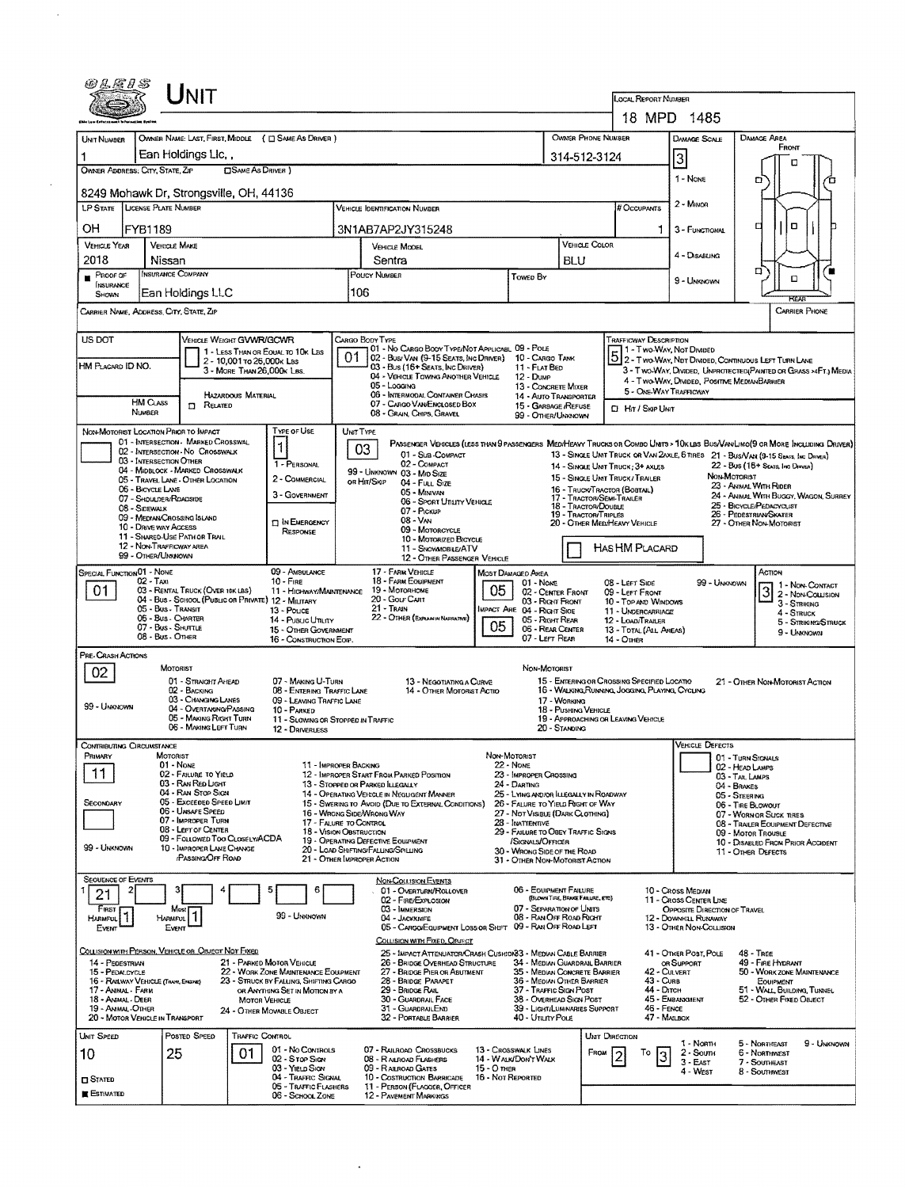| <i>©LE1S</i>                                       |                                                                       | NIT                                                  |                                                                          |                                                                                                                                                                                                        |                                                                                                                                              |                   |                                                          |                                                         |                                                                                                                      |                                                                                                                  |                                                                                                                             |  |  |  |  |
|----------------------------------------------------|-----------------------------------------------------------------------|------------------------------------------------------|--------------------------------------------------------------------------|--------------------------------------------------------------------------------------------------------------------------------------------------------------------------------------------------------|----------------------------------------------------------------------------------------------------------------------------------------------|-------------------|----------------------------------------------------------|---------------------------------------------------------|----------------------------------------------------------------------------------------------------------------------|------------------------------------------------------------------------------------------------------------------|-----------------------------------------------------------------------------------------------------------------------------|--|--|--|--|
|                                                    |                                                                       |                                                      |                                                                          |                                                                                                                                                                                                        |                                                                                                                                              |                   |                                                          |                                                         | LOCAL REPORT NUMBER                                                                                                  | 18 MPD 1485                                                                                                      |                                                                                                                             |  |  |  |  |
| UNIT NUMBER                                        |                                                                       |                                                      | OWNER NAME: LAST, FIRST, MIDDLE ( C SAME AS DRIVER )                     |                                                                                                                                                                                                        |                                                                                                                                              |                   |                                                          | OWNER PHONE NUMBER                                      |                                                                                                                      | DAMAGE SCALE                                                                                                     | DAMAGE AREA                                                                                                                 |  |  |  |  |
|                                                    | Ean Holdings Llc,                                                     |                                                      |                                                                          |                                                                                                                                                                                                        |                                                                                                                                              |                   |                                                          | 314-512-3124                                            |                                                                                                                      |                                                                                                                  | Front                                                                                                                       |  |  |  |  |
| OWNER ADDRESS: CITY, STATE, ZIP                    |                                                                       |                                                      | <b>CISAME AS DRIVER</b> )                                                |                                                                                                                                                                                                        |                                                                                                                                              |                   |                                                          |                                                         |                                                                                                                      | $\overline{3}$                                                                                                   | п                                                                                                                           |  |  |  |  |
| 8249 Mohawk Dr, Strongsville, OH, 44136            |                                                                       |                                                      |                                                                          |                                                                                                                                                                                                        |                                                                                                                                              |                   |                                                          |                                                         |                                                                                                                      | 1 - NONE                                                                                                         | ۵                                                                                                                           |  |  |  |  |
| <b>LP STATE</b>                                    | <b>LICENSE PLATE NUMBER</b>                                           |                                                      |                                                                          | <b>VEHICLE IDENTIFICATION NUMBER</b>                                                                                                                                                                   |                                                                                                                                              |                   |                                                          |                                                         | # Occupants                                                                                                          | $2 -$ Minor                                                                                                      |                                                                                                                             |  |  |  |  |
| OН                                                 | FYB1189                                                               |                                                      |                                                                          | 3N1AB7AP2JY315248                                                                                                                                                                                      |                                                                                                                                              |                   |                                                          |                                                         |                                                                                                                      | 3 - FUNCTIONAL                                                                                                   | $\Box$<br>о                                                                                                                 |  |  |  |  |
| <b>VEHICLE YEAR</b>                                | <b>VEHICLE MAKE</b>                                                   |                                                      | <b>VEHICLE MODEL</b>                                                     |                                                                                                                                                                                                        |                                                                                                                                              | VEHICLE COLOR     |                                                          |                                                         |                                                                                                                      |                                                                                                                  |                                                                                                                             |  |  |  |  |
| 2018                                               | Nissan                                                                |                                                      |                                                                          | Sentra                                                                                                                                                                                                 |                                                                                                                                              |                   |                                                          | BLU                                                     |                                                                                                                      | 4 - DISABLING                                                                                                    | σ                                                                                                                           |  |  |  |  |
| $P_{\text{ROOF OF}}$<br><b>INSURANCE</b>           | INSURANCE COMPANY                                                     |                                                      |                                                                          | POLICY NUMBER<br>Towed By                                                                                                                                                                              |                                                                                                                                              |                   |                                                          |                                                         |                                                                                                                      | 9 - Unknown                                                                                                      | $\Box$                                                                                                                      |  |  |  |  |
| SHOWN                                              | Ean Holdings LLC                                                      |                                                      |                                                                          | 106                                                                                                                                                                                                    |                                                                                                                                              |                   |                                                          |                                                         |                                                                                                                      |                                                                                                                  | <b>FEAR</b>                                                                                                                 |  |  |  |  |
| CARRIER NAME, ADDRESS, CITY, STATE, ZIP            |                                                                       |                                                      |                                                                          |                                                                                                                                                                                                        |                                                                                                                                              |                   |                                                          |                                                         |                                                                                                                      |                                                                                                                  | <b>CARRIER PHONE</b>                                                                                                        |  |  |  |  |
| US DOT                                             |                                                                       | VEHICLE WEIGHT GVWR/GCWR                             |                                                                          | CARGO BODY TYPE                                                                                                                                                                                        |                                                                                                                                              |                   |                                                          |                                                         | TRAFFICWAY DESCRIPTION                                                                                               |                                                                                                                  |                                                                                                                             |  |  |  |  |
| HM PLACARD ID NO.                                  |                                                                       | 2 - 10,001 To 26,000x Las                            | 1 - LESS THAN OR EQUAL TO 10K LBS                                        | 01                                                                                                                                                                                                     | 01 - No CARGO BODY TYPE/NOT APPLICABL 09 - POLE<br>02 - Bus/Van (9-15 Seats, Inc Driver) 10 - Cargo Tann<br>03 - Bus (16+ SEATS, INC DRIVER) |                   |                                                          |                                                         |                                                                                                                      | 1 - Two-Way, Not Divided                                                                                         | 5 2 - Two-Way, Not Divided, Communous Left Turn Lane                                                                        |  |  |  |  |
|                                                    |                                                                       |                                                      | 3 - MORE THAN 26,000K LBS.                                               | 05 - Logging                                                                                                                                                                                           | 04 - VEHICLE TOWING ANOTHER VEHICLE                                                                                                          |                   | 11 - FLAT BED<br>12 Dune                                 |                                                         |                                                                                                                      | 3 - Two-WAY, Divided, UNPROTECTED (PAINTED OR GRASS >4FT.) MEDIA<br>4 - Two-Way, Divided, Positive MedianBarrier |                                                                                                                             |  |  |  |  |
|                                                    | <b>HM Cuss</b>                                                        | HAZARDOUS MATERIAL                                   |                                                                          |                                                                                                                                                                                                        | 06 - INTERMODAL CONTAINER CHASIS<br>07 - CARGO VAN/ENCLOSED BOX                                                                              |                   | 13 - CONCRETE MIXER<br>14 - Auto Transporter             |                                                         |                                                                                                                      | 5 - ONE-WAY TRAFFICWAY                                                                                           |                                                                                                                             |  |  |  |  |
|                                                    | n<br>NUMBER                                                           | RELATED                                              |                                                                          |                                                                                                                                                                                                        | 08 - GRAN, CHIPS, GRAVEL                                                                                                                     |                   | 15 - GARBAGE /REFUSE<br>99 - OTHER/UNKNOWN               |                                                         | <b>CI HIT / SKIP UNIT</b>                                                                                            |                                                                                                                  |                                                                                                                             |  |  |  |  |
| NON-MOTORIST LOCATION PRIOR TO IMPACT              | 01 - INTERSECTION - MARKED CROSSWAL                                   |                                                      | Type or Use                                                              | UNIT TYPE                                                                                                                                                                                              |                                                                                                                                              |                   |                                                          |                                                         |                                                                                                                      |                                                                                                                  | PASSENGER VERICLES (LESS THAN 9 PASSENGERS MEDIHEAVY TRUCKS OR COMBO UNITS > 10K LBS BUS/VANUMO(9 OR MORE INCLUDING DRIVER) |  |  |  |  |
|                                                    | 02 - INTERSECTION - No CROSSWALK<br>03 - INTERSECTION OTHER           |                                                      | 1                                                                        | 03                                                                                                                                                                                                     | 01 - Sub-COMPACT                                                                                                                             |                   |                                                          |                                                         |                                                                                                                      |                                                                                                                  | 13 - SINGLE UNIT TRUCK OR VAN 2AXLE, 6 TIRES 21 - BUS/VAN (9-15 SEATS. INC DRIVER)                                          |  |  |  |  |
|                                                    | 04 - MIDBLOCK - MARKED CROSSWALK<br>05 - Travel Lane - Other Location |                                                      | 1 - PERSONAL<br>2 - COMMERCIAL                                           | 99 - UNKNOWN 03 - MID SIZE                                                                                                                                                                             | 02 - COMPACT                                                                                                                                 |                   |                                                          |                                                         | 22 - Bus (16+ Seats Inc Driver)<br>14 - SINGLE UNIT TRUCK: 3+ AXLES<br>NON-MOTORIST<br>15 - SINGLE UNIT TRUCK/TRALER |                                                                                                                  |                                                                                                                             |  |  |  |  |
|                                                    | 06 - BICYCLE LANE<br>07 - Shoulder/Roadside                           |                                                      | 3 - GOVERNMENT                                                           | OR HIT/SKIP                                                                                                                                                                                            | 04 - Futt Size<br>05 - Minivan                                                                                                               |                   |                                                          |                                                         | 16 - TRUCK/TRACTOR (BOSTAL)<br>17 - TRACTOR/SEMI-TRAILER                                                             | 23 - ANNAL WITH RIDER<br>24 - ANIMAL WITH BUGGY, WAGON, SURREY                                                   |                                                                                                                             |  |  |  |  |
|                                                    | 08 - SIDEWALK<br>09 - MEDIAN CROSSING ISLAND                          |                                                      |                                                                          |                                                                                                                                                                                                        | 06 - SPORT UTILITY VEHICLE<br>07 - Pickup                                                                                                    |                   |                                                          | 18 - TRACTOR/DOUBLE<br><b>19 - TRACTOR/TRIPLES</b>      | 25 - BICYCLE/PEDACYCLIST<br>26 - PEDESTRIAN/SKATER                                                                   |                                                                                                                  |                                                                                                                             |  |  |  |  |
|                                                    | 10 - DRIVE WAY ACCESS<br>11 - SHARED-USE PATH OR TRAIL                |                                                      | <b>IN EMERGENCY</b><br>RESPONSE                                          |                                                                                                                                                                                                        | 08 - VAN<br>09 - MOTORCYCLE                                                                                                                  |                   |                                                          | 20 - OTHER MEDIHEAVY VEHICLE<br>27 - OTHER NON-MOTORIST |                                                                                                                      |                                                                                                                  |                                                                                                                             |  |  |  |  |
|                                                    | 12 - NON-TRAFFICWAY AREA<br>99 - OTHER/UNXNOWN                        |                                                      |                                                                          |                                                                                                                                                                                                        | 10 - MOTORIZED BICYCLE<br>11 - SNOVANOBILE/ATV                                                                                               |                   |                                                          | HASHM PLACARD                                           |                                                                                                                      |                                                                                                                  |                                                                                                                             |  |  |  |  |
| SPECIAL FUNCTION 01 - NONE                         |                                                                       |                                                      | 09 - AMBULANCE                                                           |                                                                                                                                                                                                        | 12 - OTHER PASSENGER VEHICLE<br>17 - FARM VEHICLE                                                                                            |                   | MOST DAMAGED AREA                                        |                                                         |                                                                                                                      |                                                                                                                  | ACTION                                                                                                                      |  |  |  |  |
| 01                                                 | $02 - TAM$                                                            | 03 - RENTAL TRUCK (OVER 10K LBS)                     | $10 -$ Fi $RE$<br>11 - HIGHWAY/MAINTENANCE                               | 19 - Мотовноме                                                                                                                                                                                         | 18 - FARM EQUIPMENT                                                                                                                          | 05                | 01 - None<br>02 - CENTER FRONT                           |                                                         | 08 - Left Side<br>09 - LEFT FRONT                                                                                    | 99 - Unknown                                                                                                     | 1 - NON-CONTACT<br>$\overline{3}$<br>2 - Non-Counsion                                                                       |  |  |  |  |
|                                                    | 05 - Bus - Transit                                                    |                                                      | 04 - BUS - SCHOOL (PUBLIC OR PRIVATE) 12 - MILITARY<br>13 - Pouce        | 20 - Golf Cart<br>03 - Right Front<br>21 - Train<br><b>IMPACT ARE 04 - RIGHT SIDE</b>                                                                                                                  |                                                                                                                                              |                   |                                                          |                                                         | 10 - TOP AND WINDOWS<br>11 - UNDERCARRIAGE                                                                           | $3 - S$ TRIKING<br>4 - STRUCK                                                                                    |                                                                                                                             |  |  |  |  |
|                                                    | 06 - Bus - Charter<br>07 - Bus - SHUTTLE                              |                                                      | 14 - Pusuc Ununy<br>15 - OTHER GOVERNMENT                                | 22 - OTHER (EXPEASE IN NARRATIVE)<br>05 - Right Rear<br>05<br>06 - REAR CENTER                                                                                                                         |                                                                                                                                              |                   |                                                          |                                                         | 12 - LOAD/TRAILER<br>13 - TOTAL (ALL AREAS)                                                                          |                                                                                                                  | 5 - STRIKING/STRUCK                                                                                                         |  |  |  |  |
|                                                    | 08 - Bus - OTHER                                                      |                                                      | 16 - CONSTRUCTION EOIP.                                                  |                                                                                                                                                                                                        |                                                                                                                                              |                   | 07 - LEFT REAR                                           |                                                         | 14 - Отнев                                                                                                           |                                                                                                                  | 9 - Unknown                                                                                                                 |  |  |  |  |
| PRE-CRASH ACRONS                                   | MOTORIST                                                              |                                                      |                                                                          |                                                                                                                                                                                                        |                                                                                                                                              |                   | NON-MOTORIST                                             |                                                         |                                                                                                                      |                                                                                                                  |                                                                                                                             |  |  |  |  |
| 02                                                 | 02 - BACKING                                                          | 01 - STRAGHT AHEAD                                   | 07 - MAKING U-TURN                                                       |                                                                                                                                                                                                        | 13 - NEGOTIATING A CURVE                                                                                                                     |                   |                                                          |                                                         | 15 - ENTERING OR CROSSING SPECIFIED LOCATIO<br>16 - WALKING, RUNNING, JOGGING, PLAYING, CYCLING                      |                                                                                                                  | 21 - OTHER NON-MOTORIST ACTION                                                                                              |  |  |  |  |
| 99 - Ummown                                        |                                                                       | 03 - CHANGING LANES<br>04 - OVERTAKING/PASSING       | 09 - LEAVING TRAFFIC LANE<br>10 - PARKED                                 | 08 - ENTERING TRAFFIC LANE<br>14 - OTHER MOTORIST ACTIO<br>17 - WORKING<br>18 - Pushing Vehicle                                                                                                        |                                                                                                                                              |                   |                                                          |                                                         |                                                                                                                      |                                                                                                                  |                                                                                                                             |  |  |  |  |
|                                                    |                                                                       | 05 - MAKING RIGHT TURN<br>06 - MAKING LEFT TURN      |                                                                          | 11 - SLOWING OR STOPPED IN TRAFFIC                                                                                                                                                                     |                                                                                                                                              |                   |                                                          | 20 - Standing                                           | 19 - APPROACHING OR LEAVING VEHICLE                                                                                  |                                                                                                                  |                                                                                                                             |  |  |  |  |
| CONTRIBUTING CIRCUMSTANCE                          |                                                                       |                                                      | 12 - DRIVERLESS                                                          |                                                                                                                                                                                                        |                                                                                                                                              |                   |                                                          |                                                         |                                                                                                                      | <b>VEHICLE DEFECTS</b>                                                                                           |                                                                                                                             |  |  |  |  |
| PRIMARY                                            | <b>MOTORIST</b><br>$01 - None$                                        |                                                      |                                                                          | 11 - IMPROPER BACKING                                                                                                                                                                                  |                                                                                                                                              |                   | NON MOTORIST<br>22 - NONE                                |                                                         |                                                                                                                      |                                                                                                                  | 01 - TURN SIGNALS                                                                                                           |  |  |  |  |
| 11                                                 | 02 - FAILURE TO YIELD<br>03 - RAN RED LIGHT                           |                                                      |                                                                          | 12 - IMPROPER START FROM PARKED POSITION<br>13 - Stopped or PARKED ILLEGALLY                                                                                                                           |                                                                                                                                              |                   | 23 - IMPROPER CROSSING<br>24 - DARTING                   |                                                         | 02 - HEAD LAMPS<br>03 - TAIL LAMPS                                                                                   |                                                                                                                  |                                                                                                                             |  |  |  |  |
| SECONDARY                                          | 04 - RAN STOP SIGN                                                    | 05 - Exceeded Speed Limit                            |                                                                          | 14 - Operating Vehicle in Negligent Manner                                                                                                                                                             |                                                                                                                                              |                   | 25 - LYING ANDIOR LLEGALLY IN ROADWAY                    |                                                         | 04 - BRAKES<br>05 - STEERING                                                                                         |                                                                                                                  |                                                                                                                             |  |  |  |  |
|                                                    | 06 - UNSAFE SPEED<br>07 - IMPROPER TURN                               |                                                      |                                                                          | 15 - Swering to Avoid (Due to External Conditions)<br>26 - FALURE TO YIELD RIGHT OF WAY<br>16 - WRONG SIDE/WRONG WAY<br>27 - NOT VISIBLE (DARK CLOTHING)<br>17 - FALURE TO CONTROL<br>28 - INATTENTIVE |                                                                                                                                              |                   |                                                          |                                                         |                                                                                                                      | 06 - Tine Blowout<br>07 - WORN OR SUCK TIRES                                                                     |                                                                                                                             |  |  |  |  |
|                                                    | 08 - LEFT OF CENTER                                                   | 09 - FOLLOWED TOO CLOSELY/ACDA                       |                                                                          | 29 - FAILURE TO OBEY TRAFFIC SIGNS<br><b>18 - VISION OBSTRUCTION</b><br>19 - OPERATING DEFECTIVE EQUIPMENT                                                                                             |                                                                                                                                              |                   |                                                          |                                                         |                                                                                                                      |                                                                                                                  | 08 - TRAILER EQUIPMENT DEFECTIVE<br>09 - MOTOR TROUBLE                                                                      |  |  |  |  |
| 99 - UNKNOWN                                       |                                                                       | 10 - IMPROPER LANE CHANGE<br><b>PASSING OFF ROAD</b> |                                                                          | /SIGNALS/OFFICER<br>20 - LOAD SHIFTING/FALLING/SPILLING<br>30 - Wrong Side of the Road<br>21 - OTHER IMPROPER ACTION<br>31 - OTHER NON-MOTORIST ACTION                                                 |                                                                                                                                              |                   |                                                          |                                                         |                                                                                                                      |                                                                                                                  | 10 - DISABLED FROM PRIOR ACCIDENT<br>11 - OTHER DEFECTS                                                                     |  |  |  |  |
|                                                    |                                                                       |                                                      |                                                                          |                                                                                                                                                                                                        |                                                                                                                                              |                   |                                                          |                                                         |                                                                                                                      |                                                                                                                  |                                                                                                                             |  |  |  |  |
| <b>SEQUENCE OF EVENTS</b><br>21                    |                                                                       |                                                      | 6                                                                        |                                                                                                                                                                                                        | <b>NON-COLLISION EVENTS</b><br>01 - OVERTURN/ROLLOVER                                                                                        |                   | 06 - EQUIPMENT FAILURE                                   | (BLOWN TULE, BRAKE FAILURE, ETC)                        |                                                                                                                      | 10 - Cross Median                                                                                                |                                                                                                                             |  |  |  |  |
| FIRST<br>HARMFUL <sup>1</sup>                      | Most                                                                  |                                                      | 99 - UNKNOWN                                                             |                                                                                                                                                                                                        | 02 - FIRE/EXPLOSION<br>03 - IMMERSION                                                                                                        |                   | 07 - SEPARATION OF UNITS<br>08 - RAN OFF ROAD RIGHT      |                                                         |                                                                                                                      | 11 - Cross Center Line<br><b>OPPOSITE DIRECTION OF TRAVEL</b>                                                    |                                                                                                                             |  |  |  |  |
| EVENT                                              | HARMFUL<br>EVENT                                                      |                                                      |                                                                          |                                                                                                                                                                                                        | 04 - JACKKNIFE<br>05 - CARGO/EQUIPMENT LOSS OR SHIFT 09 - RAN OFF ROAD LEFT                                                                  |                   |                                                          |                                                         |                                                                                                                      | 12 - DOWNHAL RUNAWAY<br>13 - OTHER NON-COLUSION                                                                  |                                                                                                                             |  |  |  |  |
| COLLISION WITH PERSON, VEHICLE OR OBJECT NOT FIXED |                                                                       |                                                      |                                                                          |                                                                                                                                                                                                        | COLLISION WITH FIXED, OBJECT<br>25 - IMPACT ATTENUATOR/CRASH CUSHION33 - MEDIAN CABLE BARRIER                                                |                   |                                                          |                                                         |                                                                                                                      | 41 - OTHER POST, POLE                                                                                            | 48 - TREE                                                                                                                   |  |  |  |  |
| 14 - PEDESTRIAN<br>15 - PEDALCYCLE                 |                                                                       |                                                      | 21 - PARKED MOTOR VEHICLE<br>22 - WORK ZONE MAINTENANCE EQUIPMENT        |                                                                                                                                                                                                        | 26 - BRIDGE OVERHEAD STRUCTURE<br>27 - BRIDGE PIER OR ABUTMENT                                                                               |                   | 34 - Median Guardral Barrier                             |                                                         |                                                                                                                      | OR SUPPORT                                                                                                       | 49 - FIRE HYDRANT<br>50 - WORK ZONE MAINTENANCE                                                                             |  |  |  |  |
| 17 - ANIMAL - FARM                                 | 16 - RAILWAY VEHICLE (TRAN, ENGINE)                                   |                                                      | 23 - STRUCK BY FALLING, SHIFTING CARGO<br>OR ANYTHING SET IN MOTION BY A | 35 - MEDIAN CONCRETE BARRIER<br>36 - MEDIAN OTHER BARRIER<br>28 - BRIDGE PARAPET<br>37 - TRAFFIC SIGN POST<br>29 - BRIDGE RAIL                                                                         |                                                                                                                                              |                   |                                                          |                                                         | 42 - CULVERT<br>43 - Curb<br>EQUIPMENT<br>44 - Олтон<br>51 - WALL BUILDING, TUNNEL                                   |                                                                                                                  |                                                                                                                             |  |  |  |  |
| 18 - Animal - Deer<br>19 - ANIMAL OTHER            |                                                                       |                                                      | <b>MOTOR VEHICLE</b><br>24 - OTHER MOVABLE OBJECT                        |                                                                                                                                                                                                        | <b>30 - GUARDRAIL FACE</b><br>31 - GUARDRAILEND                                                                                              |                   | 38 - Overhead Sign Post<br>39 - LIGHT/LUMINARIES SUPPORT |                                                         |                                                                                                                      | 45 - EMBANKMENT<br>46 - FENCE                                                                                    | 52 - OTHER FIXED OBJECT                                                                                                     |  |  |  |  |
| 20 - MOTOR VEHICLE IN TRANSPORT                    |                                                                       |                                                      |                                                                          |                                                                                                                                                                                                        | 32 - PORTABLE BARRIER                                                                                                                        |                   | 40 - Utany Pole                                          |                                                         |                                                                                                                      | 47 - MALBOX                                                                                                      |                                                                                                                             |  |  |  |  |
| UNIT SPEED                                         | Posted Speed                                                          |                                                      | TRAFFIC CONTROL                                                          |                                                                                                                                                                                                        |                                                                                                                                              |                   |                                                          |                                                         | UNT DIRECTION                                                                                                        | 1 - North                                                                                                        | 9 - UNKNOWN<br>5 - Northeast                                                                                                |  |  |  |  |
| 10                                                 | 25                                                                    | 01                                                   | 01 - No CONTROLS<br>02 - Stop Sign<br>03 - Yieup Siav                    | 09 - RAILROAD GATES                                                                                                                                                                                    | 07 - RAILROAD CROSSBUCKS<br>08 - RALROAD FLASHERS                                                                                            | 15 - О тнєп       | 13 - CROSSWALK LINES<br>14 - Walk/Don't Walk             | FROM                                                    | To<br>2                                                                                                              | 2 - Soums<br>3<br>$3 - E$ AST                                                                                    | 6 - Northwest<br>7 - SOUTHEAST                                                                                              |  |  |  |  |
| <b>CI STATED</b>                                   |                                                                       |                                                      | 04 - Traffic Signal<br>05 - TRAFFIC FLASHERS                             |                                                                                                                                                                                                        | 10 - COSTRUCTION BARRICADE<br>11 - PERSON (FLACGER, OFFICER                                                                                  | 16 - Not Reported |                                                          |                                                         |                                                                                                                      | 4 - West                                                                                                         | 8 - SOUTHWEST                                                                                                               |  |  |  |  |
| <b>ESTIMATED</b>                                   |                                                                       |                                                      | 06 - SCHOOL ZONE                                                         |                                                                                                                                                                                                        | 12 - PAVEMENT MARKINGS                                                                                                                       |                   |                                                          |                                                         |                                                                                                                      |                                                                                                                  |                                                                                                                             |  |  |  |  |

 $\sim$   $\sim$ 

 $\hat{\mathcal{L}}$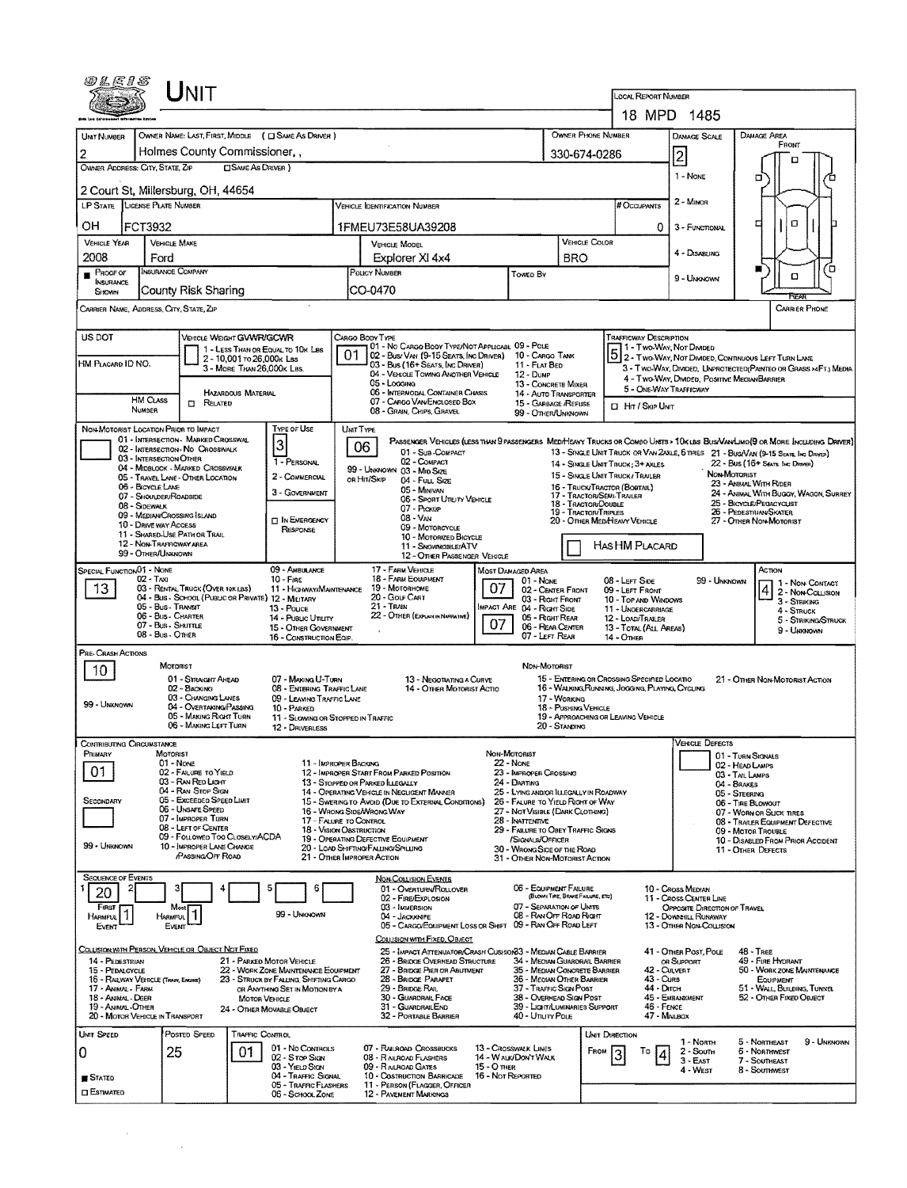|                                                                       | Unit                                                                                    |                                                                                |                                                                |                                                                                                                                                                                                                    |                             |                                                     |                                                                                                                                                                                                       |                |                                                           |                                                                |                                                        |                                                                                                                                                                                                                      |  |  |
|-----------------------------------------------------------------------|-----------------------------------------------------------------------------------------|--------------------------------------------------------------------------------|----------------------------------------------------------------|--------------------------------------------------------------------------------------------------------------------------------------------------------------------------------------------------------------------|-----------------------------|-----------------------------------------------------|-------------------------------------------------------------------------------------------------------------------------------------------------------------------------------------------------------|----------------|-----------------------------------------------------------|----------------------------------------------------------------|--------------------------------------------------------|----------------------------------------------------------------------------------------------------------------------------------------------------------------------------------------------------------------------|--|--|
|                                                                       |                                                                                         |                                                                                |                                                                |                                                                                                                                                                                                                    |                             |                                                     |                                                                                                                                                                                                       |                | <b>LOCAL REPORT NUMBER</b>                                | 18 MPD 1485                                                    |                                                        |                                                                                                                                                                                                                      |  |  |
| UNIT NUMBER                                                           | OWNER NAME: LAST, FIRST, MIDDLE ( C SAME AS DRIVER )                                    |                                                                                |                                                                |                                                                                                                                                                                                                    |                             |                                                     | OWNER PHONE NUMBER                                                                                                                                                                                    |                |                                                           | <b>DAMAGE SCALE</b>                                            |                                                        | DAMAGE AREA                                                                                                                                                                                                          |  |  |
| 2                                                                     | Holmes County Commissioner,,                                                            |                                                                                | 330-674-0286                                                   |                                                                                                                                                                                                                    | FRONT<br>п                  |                                                     |                                                                                                                                                                                                       |                |                                                           |                                                                |                                                        |                                                                                                                                                                                                                      |  |  |
| OWNER ADDRESS: CITY, STATE, ZIP                                       |                                                                                         |                                                                                | 2<br>1 - NONE<br>α                                             |                                                                                                                                                                                                                    |                             |                                                     |                                                                                                                                                                                                       |                |                                                           |                                                                |                                                        |                                                                                                                                                                                                                      |  |  |
|                                                                       | 2 Court St. Millersburg, OH, 44654                                                      |                                                                                |                                                                |                                                                                                                                                                                                                    |                             |                                                     |                                                                                                                                                                                                       |                |                                                           |                                                                |                                                        |                                                                                                                                                                                                                      |  |  |
| LP STATE LICENSE PLATE NUMBER                                         |                                                                                         | VEHICLE IDENTIFICATION NUMBER                                                  |                                                                |                                                                                                                                                                                                                    |                             |                                                     | # Occupants                                                                                                                                                                                           | 2 - MINOR      |                                                           |                                                                |                                                        |                                                                                                                                                                                                                      |  |  |
| OН<br>FCT3932                                                         |                                                                                         |                                                                                |                                                                | 1FMEU73E58UA39208                                                                                                                                                                                                  |                             |                                                     |                                                                                                                                                                                                       |                |                                                           | 3 - FUNCTIONAL                                                 | α<br>□                                                 |                                                                                                                                                                                                                      |  |  |
| <b>VEHICLE YEAR</b><br>2008<br>Ford                                   | <b>VEHICLE MAKE</b>                                                                     |                                                                                | VEHICLE MODEL<br>Explorer XI 4x4                               |                                                                                                                                                                                                                    | VEHICLE COLOR<br><b>BRO</b> |                                                     |                                                                                                                                                                                                       | 4 - DISABLING  |                                                           |                                                                |                                                        |                                                                                                                                                                                                                      |  |  |
| PROOF OF<br><b>INSURANCE</b>                                          | <b>INSURANCE COMPANY</b>                                                                |                                                                                | POLICY NUMBER<br><b>TOWED BY</b>                               |                                                                                                                                                                                                                    |                             |                                                     |                                                                                                                                                                                                       |                |                                                           | 9 - UNKNOWN                                                    |                                                        | ά<br>ж<br>α                                                                                                                                                                                                          |  |  |
| SHOWN                                                                 | County Risk Sharing                                                                     |                                                                                | CO-0470                                                        |                                                                                                                                                                                                                    |                             |                                                     |                                                                                                                                                                                                       |                |                                                           |                                                                | REAR                                                   |                                                                                                                                                                                                                      |  |  |
| CARRIER NAME, ADDRESS, CITY, STATE, ZIP                               |                                                                                         |                                                                                |                                                                |                                                                                                                                                                                                                    |                             |                                                     |                                                                                                                                                                                                       |                |                                                           |                                                                |                                                        | <b>CARRIER PHONE</b>                                                                                                                                                                                                 |  |  |
| US DOT                                                                | VEHICLE WEIGHT GVWR/GCWR                                                                |                                                                                | CARGO BODY TYPE                                                | 01 - No CARGO BODY TYPE/NOT APPLICABL 09 - POLE                                                                                                                                                                    |                             |                                                     |                                                                                                                                                                                                       |                | <b>TRAFFICWAY DESCRIPTION</b><br>1 - Two-Way, Not Divided |                                                                |                                                        |                                                                                                                                                                                                                      |  |  |
| HM PLACARD ID NO.                                                     | 1 - LESS THAN OR EQUAL TO 10K LBS<br>2 - 10,001 то 26,000к Lss                          |                                                                                |                                                                | 02 - Bus/Van (9-15 Seats, Inc Driver) 10 - Cargo Tank<br>03 - Bus (16+ Seats, Inc Driver)                                                                                                                          |                             | 11 - FLAT BED                                       |                                                                                                                                                                                                       |                |                                                           |                                                                |                                                        | 5 1 - T WO-WAY, NOT DIVIDED<br>2 - T WO-WAY, NOT DIVIDED, CONTINUOUS LEFT TURN LANE                                                                                                                                  |  |  |
|                                                                       | 3 - MORE THAN 26,000K LBS.                                                              |                                                                                |                                                                | 04 - VEHICLE TOWING ANOTHER VEHICLE<br>05 - Logging                                                                                                                                                                |                             | 12 - Dump<br>13 - CONCRETE MIXER                    |                                                                                                                                                                                                       |                |                                                           | 4 - Two-WAY, DIVIDED, POSITIVE MEDIANBARRIER                   |                                                        | 3 - Two-WAY, DIVIDEO, UNPROTECTED (PAINTEO OR GRASS >4FT.) MEDIA                                                                                                                                                     |  |  |
| <b>HM CLASS</b>                                                       | HAZARDOUS MATERIAL<br><b>CI RELATED</b>                                                 |                                                                                |                                                                | 06 - INTERMODAL CONTAINER CHASIS<br>07 - CARGO VAN/ENCLOSED BOX                                                                                                                                                    |                             | 14 - AUTO TRANSPORTER<br>15 - GARBAGE /REFUSE       |                                                                                                                                                                                                       |                | <b>D</b> Hn / Skip Unit                                   | 5 - ONE-WAY TRAFFICWAY                                         |                                                        |                                                                                                                                                                                                                      |  |  |
| NUMBER<br>NON-MOTORIST LOCATION PRIOR TO IMPACT                       |                                                                                         | Type of Use                                                                    | UNIT TYPE                                                      | 08 - GRAIN, CHIPS, GRAVEL                                                                                                                                                                                          |                             | 99 - OTHER/UNKNOWN                                  |                                                                                                                                                                                                       |                |                                                           |                                                                |                                                        |                                                                                                                                                                                                                      |  |  |
|                                                                       | 01 - INTERSECTION - MARKED CROSSWAL<br>02 - INTERSECTION - NO CROSSWALK                 | 3                                                                              | 06                                                             | 01 - Sus-COMPACT                                                                                                                                                                                                   |                             |                                                     |                                                                                                                                                                                                       |                |                                                           |                                                                |                                                        | PASSENGER VEHICLES (LESS THAN 9 PASSENGERS MEDITIEAVY TRUCKS OR COMBO UNITS > 10K LBS BUS/VAN LIMO(9 OR MORE INCLUDING DRIVER)<br>13 - SINGLE UNIT TRUCK OR VAN ZAXLE, 6 TIRES 21 - BUSIVAN (9-15 SEATS, INC DRIVER) |  |  |
| 03 - INTERSECTION OTHER                                               | 04 - MIDRLOCK - MARKED CROSSWALK                                                        | 1 - PERSONAL                                                                   |                                                                | 02 - COMPACT<br>99 - UNKNOWN 03 - MIO SIZE                                                                                                                                                                         |                             |                                                     |                                                                                                                                                                                                       |                | 14 - SINGLE UNIT TRUCK: 3+ AXLES                          |                                                                |                                                        | 22 - Bus (16+ Seats, Inc. Driver)                                                                                                                                                                                    |  |  |
| 06 - BICYCLE LANE                                                     | 05 - TRAVEL LANE - OTHER LOCATION                                                       | 2 - COMMERCIAL<br>3 - GOVERNMENT                                               | OR HIT/SKIP                                                    | 04 - Fuu, Size<br>05 - Mimyan                                                                                                                                                                                      |                             |                                                     | 16 - TRUCK/TRACTOR (BOBTAIL)                                                                                                                                                                          |                | 15 - SINGLE UNIT TRUCK/ TRAILER                           |                                                                | NON-MOTORIST                                           | 23 - Animal With Rider<br>24 - ANIMAL WITH BUGGY, WAGON, SURREY                                                                                                                                                      |  |  |
| 07 - SHOULDER/ROADSIDE<br>08 - Sidewalk<br>09 - MEDIAN CROSSING SLAND |                                                                                         |                                                                                |                                                                | 17 - TRACTOR/SEMI-TRAILER<br>06 - Sport Uttury Vehicle<br>18 - TRACTOR/DOUBLE<br>07 - PICKUP<br><b>19 - TRACTOR/TRIPLES</b>                                                                                        |                             |                                                     |                                                                                                                                                                                                       |                |                                                           | 25 - BICYCLE/PEDACYCLIST<br>26 - PEDESTRIAN/SKATER             |                                                        |                                                                                                                                                                                                                      |  |  |
| 10 - DRIVE WAY Access<br>11 - SHARED-USE PATH OR TRAIL                |                                                                                         | <b>IT IN EMERGENCY</b><br>RESPONSE                                             | 08 V <sub>M</sub><br>09 - MOTORCYCLE<br>10 - Motorized Bicycle |                                                                                                                                                                                                                    |                             |                                                     |                                                                                                                                                                                                       |                | 20 - OTHER MEDIMEAVY VEHICLE                              |                                                                | 27 - OTHER NON-MOTORIST                                |                                                                                                                                                                                                                      |  |  |
| 12 - Non-Trafficway area<br>99 - OTHER/UNKNOWN                        |                                                                                         | 11 - SNOWMOBILE/ATV<br>12 - OTHER PASSENGER VEHICLE                            |                                                                |                                                                                                                                                                                                                    |                             |                                                     | HAS HM PLACARD                                                                                                                                                                                        |                |                                                           |                                                                |                                                        |                                                                                                                                                                                                                      |  |  |
| SPECIAL FUNCTION 01 - NONE<br>02 - TAXI                               |                                                                                         | 09 - AMBULANCE<br>$10 -$ Fine                                                  |                                                                | 17 - FARM VEHICLE<br>18 - FARM EOUIPMENT                                                                                                                                                                           |                             | Most Damaged Area                                   |                                                                                                                                                                                                       |                |                                                           |                                                                |                                                        | Астом                                                                                                                                                                                                                |  |  |
| 13.                                                                   | 03 - RENTAL TRUCK (OVER 10K LBS)<br>04 - Bus - SCHOOL (PUBLIC OR PRIVATE) 12 - MILITARY | 11 - HIGHWAY/MAINTENANCE                                                       | 19 - Мотовноме<br>20 - Gour Cart                               | $01 - None$<br>02 - CENTER FRONT<br>03 - RIGHT FRONT                                                                                                                                                               |                             |                                                     | 08 - LEFT SIDE<br>09 - LEFT FRONT<br>10 - TOP AND WINDOWS                                                                                                                                             |                | 99 - UNKNOWN                                              | 1 - Non-Contact<br>2 - Non-Collision                           |                                                        |                                                                                                                                                                                                                      |  |  |
| 05 - Bus - Transit<br>06 - Bus - Charter                              |                                                                                         | 13 - Pouce<br>14 - Pusuc Unury                                                 | 21 - TRAIN<br>22 - OTHER (EXPLAUSIR NAPRATIVE)                 | IMPACT ARE 04 - RIGHT SIDE<br>05 - Right Rear                                                                                                                                                                      |                             |                                                     | 11 - UNOERCARRIAGE<br>12 - LOAD/TRAILER                                                                                                                                                               |                |                                                           | 3 - Striking<br>4 - Struck<br>5 - STRIKING/STRUCK              |                                                        |                                                                                                                                                                                                                      |  |  |
| 07 - Bus Shurrue<br>08 - Bus - Omer                                   |                                                                                         | 15 - OTHER GOVERNMENT<br>16 - CONSTRUCTION EQIP.                               | 07<br>06 - REAR CENTER<br>07 - LEFT REAR                       |                                                                                                                                                                                                                    |                             |                                                     |                                                                                                                                                                                                       | 14 - Отнев     | 13 - TOTAL (ALL AREAS)                                    |                                                                |                                                        | 9 - Unknown                                                                                                                                                                                                          |  |  |
| PRE- CRASH ACTIONS                                                    |                                                                                         |                                                                                |                                                                |                                                                                                                                                                                                                    |                             |                                                     |                                                                                                                                                                                                       |                |                                                           |                                                                |                                                        |                                                                                                                                                                                                                      |  |  |
| 10.                                                                   | MOTORIST<br>01 - STRAIGHT AHEAD                                                         | 07 - MAKING U-TURN                                                             |                                                                | 13 - Negotiating a Curve                                                                                                                                                                                           |                             | NON-MOTORIST                                        |                                                                                                                                                                                                       |                | 15 - ENTERING OR CROSSING SPECIFIED LOCATIO               |                                                                |                                                        | 21 - OTHER NON-MOTORIST ACTION                                                                                                                                                                                       |  |  |
| 99 - UNKNOWN                                                          | 02 - BACKING<br>03 - CHANGING LANES<br>04 - OVERTAKING/PASSING                          | 08 - ENTERING TRAFFIC LANE<br>09 - LEAVING TRAFFIC LANE                        |                                                                | 14 - Other Motorist Actio                                                                                                                                                                                          |                             |                                                     | 17 - WORKING                                                                                                                                                                                          |                | 16 - WALKING RUNNING, JOGGING, PLAYING, CYCLING           |                                                                |                                                        |                                                                                                                                                                                                                      |  |  |
|                                                                       | 05 - MAKING RIGHT TURN<br>06 - MAKING LEFT TURN                                         | 10 - PARKED<br>11 - SLOWING OR STOPPED IN TRAFFIC<br>12 - DRIVERLESS           |                                                                |                                                                                                                                                                                                                    |                             |                                                     | 18 - PUSHING VEHICLE<br>20 - STANDING                                                                                                                                                                 |                | 19 - APPROACHING OR LEAVING VEHICLE                       |                                                                |                                                        |                                                                                                                                                                                                                      |  |  |
| CONTRIBUTING CIRCUMSTANCE                                             |                                                                                         |                                                                                |                                                                |                                                                                                                                                                                                                    |                             |                                                     |                                                                                                                                                                                                       |                |                                                           | Vehicle Defects                                                |                                                        |                                                                                                                                                                                                                      |  |  |
| PRIMARY<br>MOTORIST                                                   | 01 - None                                                                               |                                                                                | 11 - IMPROPER BACKING                                          |                                                                                                                                                                                                                    | NON-MOTORIST                | $22 - None$                                         |                                                                                                                                                                                                       |                |                                                           |                                                                | 01 - TURN SIGNALS<br>02 - HEAD LAMPS                   |                                                                                                                                                                                                                      |  |  |
| 01                                                                    | 02 - FAILURE TO YIELD<br>03 - RAN RED LIGHT<br>04 - RAN STOP SIGN                       |                                                                                |                                                                | 12 - IMPROPER START FROM PARKED POSITION<br>23 - IMPROPER CROSSING<br>13 - STOPPED OR PARKED ILLEGALLY<br>24 - DARTING                                                                                             |                             |                                                     |                                                                                                                                                                                                       |                |                                                           | 03 - TAIL LAMPS<br>04 - BRAKES                                 |                                                        |                                                                                                                                                                                                                      |  |  |
| Secondary                                                             | 05 - Exceeded Speed Limit<br>06 - UNSAFE SPEED                                          |                                                                                | 16 - WRONG SIDE/WRONG WAY                                      | 14 - OPERATING VEHICLE IN NEGLIGENT MANNER<br>25 - LYING AND/OR LLEGALLY IN ROADWAY<br>15 - Swering to Avoid (Due to External Conditions)<br>26 - FALURE TO YIELD RIGHT OF WAY<br>27 - NOT VISIBLE (DARK CLOTHING) |                             |                                                     |                                                                                                                                                                                                       |                |                                                           | 05 - STEERING<br>06 - TIRE BLOWOUT<br>07 - WORN OR SLICK TIRES |                                                        |                                                                                                                                                                                                                      |  |  |
|                                                                       | 07 - IMPROPER TURN<br>08 - LEFT OF CENTER                                               |                                                                                | 17 - FALURE TO CONTROL<br><b>18 - Vision OBSTRUCTION</b>       | 28 - INATTENTIVE<br>29 - FAILURE TO OBEY TRAFFIC SIGNS                                                                                                                                                             |                             |                                                     |                                                                                                                                                                                                       |                |                                                           | 08 - TRAILER EQUIPMENT DEFECTIVE<br>09 - MOTOR TROUBLE         |                                                        |                                                                                                                                                                                                                      |  |  |
| 99 - UNKNOWN                                                          | 09 - Followed Too Closely/ACDA<br>10 - IMPROPER LANE CHANGE                             |                                                                                |                                                                | 19 - OPERATING DEFECTIVE EQUIPMENT<br>/SIGNALS/OFFICER<br>20 - LOAD SHIFTING/FALLING/SPILLING<br>30 - WRONG SIDE OF THE ROAD                                                                                       |                             |                                                     |                                                                                                                                                                                                       |                |                                                           |                                                                |                                                        | 10 - DISABLED FROM PRIOR ACCIDENT<br>11 - Other Defects                                                                                                                                                              |  |  |
| SEQUENCE OF EVENTS                                                    | <b>PASSING OFF ROAD</b>                                                                 |                                                                                | 21 - Other Improper Action                                     |                                                                                                                                                                                                                    |                             | 31 - Other Non-Motorist Action                      |                                                                                                                                                                                                       |                |                                                           |                                                                |                                                        |                                                                                                                                                                                                                      |  |  |
| 20                                                                    |                                                                                         |                                                                                |                                                                | NON-COLLISION EVENTS<br>01 - OVERTURN/ROLLOVER<br>02 - FIRE/EXPLOSION                                                                                                                                              |                             | 06 ~ EQUIPMENT FAILURE                              | (BLOWN TIRE, BRAKE FAILURE, ETC)                                                                                                                                                                      |                |                                                           | 10 - Cross Median<br>11 - Cross Center Line                    |                                                        |                                                                                                                                                                                                                      |  |  |
| <b>FIRST</b><br><b>HARMFUL</b><br>Harmful,                            | Most                                                                                    | 99 - Unknown                                                                   |                                                                | 03 - IMMERSION<br>04 - JACKKNIFE                                                                                                                                                                                   |                             | 07 - SEPARATION OF UNITS<br>08 - RAN OFF ROAD RIGHT |                                                                                                                                                                                                       |                |                                                           | OPPOSITE DIRECTION OF TRAVEL<br>12 - Downstill Runaway         |                                                        |                                                                                                                                                                                                                      |  |  |
| Even                                                                  | EVENT                                                                                   |                                                                                |                                                                | 05 - CARGO/EQUIPMENT LOSS OR SHIFT<br>COLLISION WITH FIXED, OBJECT                                                                                                                                                 |                             | 09 - RAN OFF ROAD LEFT                              |                                                                                                                                                                                                       |                |                                                           | 13 - OTHER NON-COLLISION                                       |                                                        |                                                                                                                                                                                                                      |  |  |
| COLLISION WITH PERSON, VEHICLE OR OBJECT NOT FIXED<br>14 - PEDESTRIAN |                                                                                         | 21 - PARKED MOTOR VEHICLE                                                      |                                                                | 25 - IMPACT ATTENUATOR/CRASH CUSHION 3 - MEDIAN CABLE BARRIER<br>26 - BRIDGE OVERHEAD STRUCTURE                                                                                                                    |                             |                                                     |                                                                                                                                                                                                       |                |                                                           | 41 - OTHER POST, POLE                                          |                                                        | 48 - TREE                                                                                                                                                                                                            |  |  |
| 15 - PEDALOYCLE<br>16 - RAILWAY VEHICLE (TRAIN, ENGINE)               |                                                                                         | 22 - WORK ZONE MAINTENANCE EQUIPMENT<br>23 - STRUCK BY FALLING, SHIFTING CARGO |                                                                | 27 - BRIDGE PIER OR ABUTMENT<br>28 - BRIDGE PARAPET                                                                                                                                                                |                             |                                                     | 34 - MEOIAN GUARDRAIL BARRIER<br>49 - FIRE HYDRANT<br>OR SUPPORT<br>35 - MEDIAN CONCRETE BARRIER<br>42 - CULVERT<br>50 - WORK ZONE MAINTENANCE<br>36 - MEDIAN OTHER BARRIER<br>43 - CURB<br>EQUIPMENT |                |                                                           |                                                                |                                                        |                                                                                                                                                                                                                      |  |  |
| 17 - Animal - Farm<br>18 - Animal - DEER                              | MOTOR VEHICLE                                                                           | OR ANYTHING SET IN MOTION BY A                                                 | 29 - BRIDGE RAIL<br>30 - GUARDRAIL FACE                        |                                                                                                                                                                                                                    |                             |                                                     | 37 - TRAFFIC SIGN POST<br>38 - OVERHEAD SIGN POST                                                                                                                                                     |                |                                                           | 44 - Олсн<br>45 - EMBANKMENT                                   | 51 - WALL, BUILDING, TUNNEL<br>52 - OTHER FIXED OBJECT |                                                                                                                                                                                                                      |  |  |
| 19 - Avimal - Other<br>20 - MOTOR VEHICLE IN TRANSPORT                |                                                                                         | 24 - OTHER MOVABLE OBJECT                                                      |                                                                | 31 - GUARDRAILEND<br>32 - PORTABLE BARRIER                                                                                                                                                                         |                             | 39 - Lightr/Luminaries Support<br>40 - Unury Pole   |                                                                                                                                                                                                       |                | 46 - FENCE<br>47 - MAILBOX                                |                                                                |                                                        |                                                                                                                                                                                                                      |  |  |
| UMT SPEED                                                             | POSTED SPEED<br>TRAFFIC CONTROL                                                         |                                                                                |                                                                |                                                                                                                                                                                                                    |                             |                                                     |                                                                                                                                                                                                       | UNIT DIRECTION |                                                           | 1 - North                                                      |                                                        | 5 - NORTHEAST<br>9 - UNKNOWN                                                                                                                                                                                         |  |  |
| 0                                                                     | 25<br>01                                                                                | 01 - No CONTROLS<br>02 - Stop Stav<br>03 - YIELD Stav                          |                                                                | 07 - RAILROAD CROSSBUCKS<br>08 - RAILROAD FLASHERS<br>09 - RAILROAD GATES                                                                                                                                          | 15 - O THER                 | 13 - Crosswalk Lines<br>14 - WALK/DON'T WALK        |                                                                                                                                                                                                       | From           | Τo<br>4                                                   | 2 - South<br>$3 - EAST$                                        |                                                        | 6 - NORTHWEST<br>7 - SOUTHEAST                                                                                                                                                                                       |  |  |
| STATED                                                                |                                                                                         | 04 - TRAFFIC SIGNAL<br>05 - TRAFFIC FLASHERS                                   |                                                                | 10 - COSTRUCTION BARRICADE<br>11 - PERSON (FLAGGER, OFFICER                                                                                                                                                        | 16 - Not Reported           |                                                     |                                                                                                                                                                                                       |                |                                                           | 4 - West                                                       |                                                        | 8 - Southwest                                                                                                                                                                                                        |  |  |
| <b>CI ESTIMATED</b>                                                   |                                                                                         | 06 - SCHOOL ZONE                                                               |                                                                | <b>12 - PAVEMENT MARKINGS</b>                                                                                                                                                                                      |                             |                                                     |                                                                                                                                                                                                       |                |                                                           |                                                                |                                                        |                                                                                                                                                                                                                      |  |  |

 $\label{eq:2.1} \frac{1}{\sqrt{2\pi}}\sum_{i=1}^n\frac{1}{\sqrt{2\pi}}\sum_{i=1}^n\frac{1}{\sqrt{2\pi}}\sum_{i=1}^n\frac{1}{\sqrt{2\pi}}\sum_{i=1}^n\frac{1}{\sqrt{2\pi}}\sum_{i=1}^n\frac{1}{\sqrt{2\pi}}\sum_{i=1}^n\frac{1}{\sqrt{2\pi}}\sum_{i=1}^n\frac{1}{\sqrt{2\pi}}\sum_{i=1}^n\frac{1}{\sqrt{2\pi}}\sum_{i=1}^n\frac{1}{\sqrt{2\pi}}\sum_{i=1}^n\$